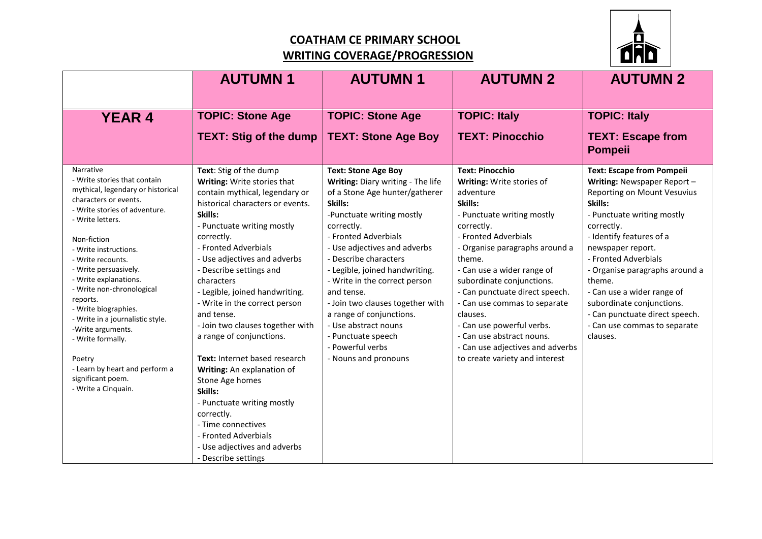## **COATHAM CE PRIMARY SCHOOL WRITING COVERAGE/PROGRESSION**



|                                                                                                                                                                                                                                                                                                                                                                                                                                                                                                                    | <b>AUTUMN1</b>                                                                                                                                                                                                                                                                                                                                                                                                                                                                                                                                                                                                                                                                     | <b>AUTUMN1</b>                                                                                                                                                                                                                                                                                                                                                                                                                                                                      | <b>AUTUMN 2</b>                                                                                                                                                                                                                                                                                                                                                                                                                                                      | <b>AUTUMN 2</b>                                                                                                                                                                                                                                                                                                                                                                                                            |
|--------------------------------------------------------------------------------------------------------------------------------------------------------------------------------------------------------------------------------------------------------------------------------------------------------------------------------------------------------------------------------------------------------------------------------------------------------------------------------------------------------------------|------------------------------------------------------------------------------------------------------------------------------------------------------------------------------------------------------------------------------------------------------------------------------------------------------------------------------------------------------------------------------------------------------------------------------------------------------------------------------------------------------------------------------------------------------------------------------------------------------------------------------------------------------------------------------------|-------------------------------------------------------------------------------------------------------------------------------------------------------------------------------------------------------------------------------------------------------------------------------------------------------------------------------------------------------------------------------------------------------------------------------------------------------------------------------------|----------------------------------------------------------------------------------------------------------------------------------------------------------------------------------------------------------------------------------------------------------------------------------------------------------------------------------------------------------------------------------------------------------------------------------------------------------------------|----------------------------------------------------------------------------------------------------------------------------------------------------------------------------------------------------------------------------------------------------------------------------------------------------------------------------------------------------------------------------------------------------------------------------|
| <b>YEAR 4</b>                                                                                                                                                                                                                                                                                                                                                                                                                                                                                                      | <b>TOPIC: Stone Age</b>                                                                                                                                                                                                                                                                                                                                                                                                                                                                                                                                                                                                                                                            | <b>TOPIC: Stone Age</b>                                                                                                                                                                                                                                                                                                                                                                                                                                                             | <b>TOPIC: Italy</b>                                                                                                                                                                                                                                                                                                                                                                                                                                                  | <b>TOPIC: Italy</b>                                                                                                                                                                                                                                                                                                                                                                                                        |
|                                                                                                                                                                                                                                                                                                                                                                                                                                                                                                                    | <b>TEXT: Stig of the dump</b>                                                                                                                                                                                                                                                                                                                                                                                                                                                                                                                                                                                                                                                      | <b>TEXT: Stone Age Boy</b>                                                                                                                                                                                                                                                                                                                                                                                                                                                          | <b>TEXT: Pinocchio</b>                                                                                                                                                                                                                                                                                                                                                                                                                                               | <b>TEXT: Escape from</b><br><b>Pompeii</b>                                                                                                                                                                                                                                                                                                                                                                                 |
| Narrative<br>- Write stories that contain<br>mythical, legendary or historical<br>characters or events.<br>- Write stories of adventure.<br>- Write letters.<br>Non-fiction<br>- Write instructions.<br>- Write recounts.<br>- Write persuasively.<br>- Write explanations.<br>- Write non-chronological<br>reports.<br>- Write biographies.<br>- Write in a journalistic style.<br>-Write arguments.<br>- Write formally.<br>Poetry<br>- Learn by heart and perform a<br>significant poem.<br>- Write a Cinquain. | Text: Stig of the dump<br>Writing: Write stories that<br>contain mythical, legendary or<br>historical characters or events.<br>Skills:<br>- Punctuate writing mostly<br>correctly.<br>- Fronted Adverbials<br>- Use adjectives and adverbs<br>- Describe settings and<br>characters<br>- Legible, joined handwriting.<br>- Write in the correct person<br>and tense.<br>- Join two clauses together with<br>a range of conjunctions.<br>Text: Internet based research<br>Writing: An explanation of<br>Stone Age homes<br>Skills:<br>- Punctuate writing mostly<br>correctly.<br>- Time connectives<br>- Fronted Adverbials<br>- Use adjectives and adverbs<br>- Describe settings | <b>Text: Stone Age Boy</b><br>Writing: Diary writing - The life<br>of a Stone Age hunter/gatherer<br>Skills:<br>-Punctuate writing mostly<br>correctly.<br>- Fronted Adverbials<br>- Use adjectives and adverbs<br>- Describe characters<br>- Legible, joined handwriting.<br>- Write in the correct person<br>and tense.<br>- Join two clauses together with<br>a range of conjunctions.<br>- Use abstract nouns<br>- Punctuate speech<br>- Powerful verbs<br>- Nouns and pronouns | <b>Text: Pinocchio</b><br>Writing: Write stories of<br>adventure<br>Skills:<br>- Punctuate writing mostly<br>correctly.<br>- Fronted Adverbials<br>- Organise paragraphs around a<br>theme.<br>- Can use a wider range of<br>subordinate conjunctions.<br>- Can punctuate direct speech.<br>- Can use commas to separate<br>clauses.<br>- Can use powerful verbs.<br>- Can use abstract nouns.<br>- Can use adjectives and adverbs<br>to create variety and interest | <b>Text: Escape from Pompeii</b><br>Writing: Newspaper Report -<br><b>Reporting on Mount Vesuvius</b><br>Skills:<br>- Punctuate writing mostly<br>correctly.<br>- Identify features of a<br>newspaper report.<br>- Fronted Adverbials<br>- Organise paragraphs around a<br>theme.<br>- Can use a wider range of<br>subordinate conjunctions.<br>- Can punctuate direct speech.<br>- Can use commas to separate<br>clauses. |